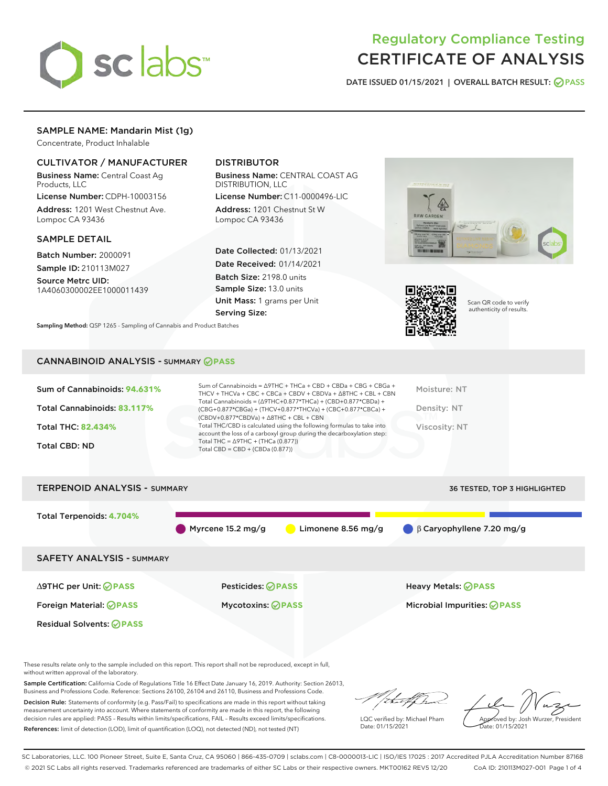

# Regulatory Compliance Testing CERTIFICATE OF ANALYSIS

DATE ISSUED 01/15/2021 | OVERALL BATCH RESULT: @ PASS

# SAMPLE NAME: Mandarin Mist (1g)

Concentrate, Product Inhalable

# CULTIVATOR / MANUFACTURER

Business Name: Central Coast Ag Products, LLC

License Number: CDPH-10003156 Address: 1201 West Chestnut Ave. Lompoc CA 93436

# SAMPLE DETAIL

Batch Number: 2000091 Sample ID: 210113M027

Source Metrc UID: 1A4060300002EE1000011439

# DISTRIBUTOR

Business Name: CENTRAL COAST AG DISTRIBUTION, LLC

License Number: C11-0000496-LIC Address: 1201 Chestnut St W Lompoc CA 93436

Date Collected: 01/13/2021 Date Received: 01/14/2021 Batch Size: 2198.0 units Sample Size: 13.0 units Unit Mass: 1 grams per Unit Serving Size:





Scan QR code to verify authenticity of results.

Sampling Method: QSP 1265 - Sampling of Cannabis and Product Batches

# CANNABINOID ANALYSIS - SUMMARY **PASS**

| Sum of Cannabinoids: 94.631%<br>Total Cannabinoids: 83.117%<br>Total THC: 82.434%<br><b>Total CBD: ND</b> | Sum of Cannabinoids = $\triangle$ 9THC + THCa + CBD + CBDa + CBG + CBGa +<br>THCV + THCVa + CBC + CBCa + CBDV + CBDVa + $\triangle$ 8THC + CBL + CBN<br>Total Cannabinoids = $(\Delta$ 9THC+0.877*THCa) + (CBD+0.877*CBDa) +<br>(CBG+0.877*CBGa) + (THCV+0.877*THCVa) + (CBC+0.877*CBCa) +<br>$(CBDV+0.877*CBDVa) + \Delta 8THC + CBL + CBN$<br>Total THC/CBD is calculated using the following formulas to take into<br>account the loss of a carboxyl group during the decarboxylation step:<br>Total THC = $\triangle$ 9THC + (THCa (0.877))<br>Total CBD = $CBD + (CBDa (0.877))$ | Moisture: NT<br>Density: NT<br>Viscosity: NT |
|-----------------------------------------------------------------------------------------------------------|---------------------------------------------------------------------------------------------------------------------------------------------------------------------------------------------------------------------------------------------------------------------------------------------------------------------------------------------------------------------------------------------------------------------------------------------------------------------------------------------------------------------------------------------------------------------------------------|----------------------------------------------|
| <b>TERPENOID ANALYSIS - SUMMARY</b>                                                                       |                                                                                                                                                                                                                                                                                                                                                                                                                                                                                                                                                                                       | <b>36 TESTED, TOP 3 HIGHLIGHTED</b>          |
|                                                                                                           |                                                                                                                                                                                                                                                                                                                                                                                                                                                                                                                                                                                       |                                              |

Total Terpenoids: **4.704%** Myrcene 15.2 mg/g Limonene 8.56 mg/g β Caryophyllene 7.20 mg/g SAFETY ANALYSIS - SUMMARY ∆9THC per Unit: **PASS** Pesticides: **PASS** Heavy Metals: **PASS** Foreign Material: **PASS** Mycotoxins: **PASS** Microbial Impurities: **PASS** Residual Solvents: **OPASS** 

These results relate only to the sample included on this report. This report shall not be reproduced, except in full, without written approval of the laboratory.

Sample Certification: California Code of Regulations Title 16 Effect Date January 16, 2019. Authority: Section 26013, Business and Professions Code. Reference: Sections 26100, 26104 and 26110, Business and Professions Code.

Decision Rule: Statements of conformity (e.g. Pass/Fail) to specifications are made in this report without taking measurement uncertainty into account. Where statements of conformity are made in this report, the following decision rules are applied: PASS – Results within limits/specifications, FAIL – Results exceed limits/specifications. References: limit of detection (LOD), limit of quantification (LOQ), not detected (ND), not tested (NT)

that fCh

LQC verified by: Michael Pham Date: 01/15/2021

Approved by: Josh Wurzer, President ate: 01/15/2021

SC Laboratories, LLC. 100 Pioneer Street, Suite E, Santa Cruz, CA 95060 | 866-435-0709 | sclabs.com | C8-0000013-LIC | ISO/IES 17025 : 2017 Accredited PJLA Accreditation Number 87168 © 2021 SC Labs all rights reserved. Trademarks referenced are trademarks of either SC Labs or their respective owners. MKT00162 REV5 12/20 CoA ID: 210113M027-001 Page 1 of 4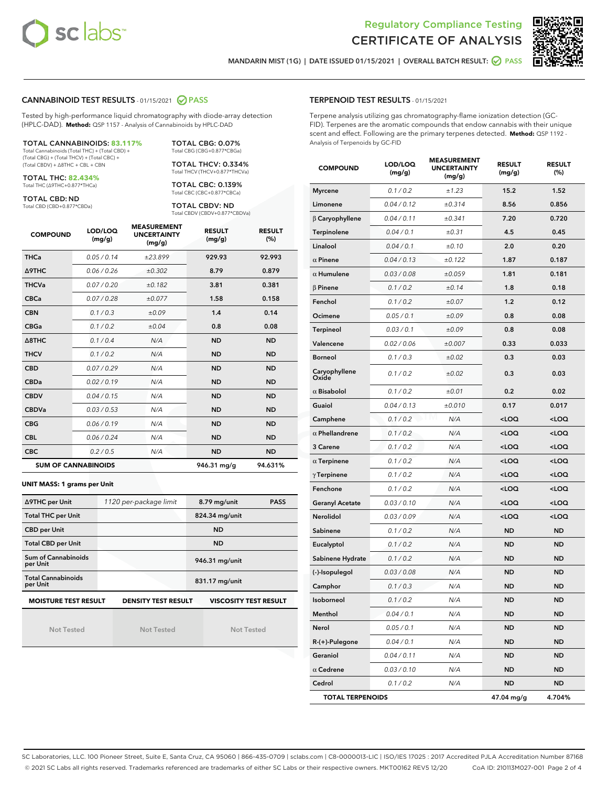



MANDARIN MIST (1G) | DATE ISSUED 01/15/2021 | OVERALL BATCH RESULT: @ PASS

# CANNABINOID TEST RESULTS - 01/15/2021 2 PASS

Tested by high-performance liquid chromatography with diode-array detection (HPLC-DAD). **Method:** QSP 1157 - Analysis of Cannabinoids by HPLC-DAD

#### TOTAL CANNABINOIDS: **83.117%** Total Cannabinoids (Total THC) + (Total CBD) +

(Total CBG) + (Total THCV) + (Total CBC) + (Total CBDV) + ∆8THC + CBL + CBN

TOTAL THC: **82.434%** Total THC (∆9THC+0.877\*THCa)

TOTAL CBD: ND

Total CBD (CBD+0.877\*CBDa)

TOTAL CBG: 0.07% Total CBG (CBG+0.877\*CBGa)

TOTAL THCV: 0.334% Total THCV (THCV+0.877\*THCVa)

TOTAL CBC: 0.139% Total CBC (CBC+0.877\*CBCa)

TOTAL CBDV: ND Total CBDV (CBDV+0.877\*CBDVa)

| <b>COMPOUND</b>  | LOD/LOQ<br>(mg/g)          | <b>MEASUREMENT</b><br><b>UNCERTAINTY</b><br>(mg/g) | <b>RESULT</b><br>(mg/g) | <b>RESULT</b><br>(%) |
|------------------|----------------------------|----------------------------------------------------|-------------------------|----------------------|
| <b>THCa</b>      | 0.05/0.14                  | ±23.899                                            | 929.93                  | 92.993               |
| <b>A9THC</b>     | 0.06 / 0.26                | ±0.302                                             | 8.79                    | 0.879                |
| <b>THCVa</b>     | 0.07/0.20                  | ±0.182                                             | 3.81                    | 0.381                |
| <b>CBCa</b>      | 0.07/0.28                  | ±0.077                                             | 1.58                    | 0.158                |
| <b>CBN</b>       | 0.1/0.3                    | ±0.09                                              | 1.4                     | 0.14                 |
| <b>CBGa</b>      | 0.1 / 0.2                  | ±0.04                                              | 0.8                     | 0.08                 |
| $\triangle$ 8THC | 0.1/0.4                    | N/A                                                | <b>ND</b>               | <b>ND</b>            |
| <b>THCV</b>      | 0.1/0.2                    | N/A                                                | <b>ND</b>               | <b>ND</b>            |
| <b>CBD</b>       | 0.07/0.29                  | N/A                                                | <b>ND</b>               | <b>ND</b>            |
| <b>CBDa</b>      | 0.02/0.19                  | N/A                                                | <b>ND</b>               | <b>ND</b>            |
| <b>CBDV</b>      | 0.04/0.15                  | N/A                                                | <b>ND</b>               | <b>ND</b>            |
| <b>CBDVa</b>     | 0.03/0.53                  | N/A                                                | <b>ND</b>               | <b>ND</b>            |
| <b>CBG</b>       | 0.06/0.19                  | N/A                                                | <b>ND</b>               | <b>ND</b>            |
| <b>CBL</b>       | 0.06 / 0.24                | N/A                                                | <b>ND</b>               | <b>ND</b>            |
| <b>CBC</b>       | 0.2 / 0.5                  | N/A                                                | <b>ND</b>               | <b>ND</b>            |
|                  | <b>SUM OF CANNABINOIDS</b> |                                                    | 946.31 mg/g             | 94.631%              |

#### **UNIT MASS: 1 grams per Unit**

| ∆9THC per Unit                                                                            | 1120 per-package limit | 8.79 mg/unit   | <b>PASS</b> |  |  |
|-------------------------------------------------------------------------------------------|------------------------|----------------|-------------|--|--|
| <b>Total THC per Unit</b>                                                                 |                        | 824.34 mg/unit |             |  |  |
| <b>CBD per Unit</b>                                                                       |                        | <b>ND</b>      |             |  |  |
| <b>Total CBD per Unit</b>                                                                 |                        | <b>ND</b>      |             |  |  |
| Sum of Cannabinoids<br>per Unit                                                           |                        | 946.31 mg/unit |             |  |  |
| <b>Total Cannabinoids</b><br>per Unit                                                     |                        | 831.17 mg/unit |             |  |  |
| <b>MOISTURE TEST RESULT</b><br><b>VISCOSITY TEST RESULT</b><br><b>DENSITY TEST RESULT</b> |                        |                |             |  |  |

#### **MOISTURE TEST RESULT**

Not Tested

Not Tested

Not Tested

# TERPENOID TEST RESULTS - 01/15/2021

Terpene analysis utilizing gas chromatography-flame ionization detection (GC-FID). Terpenes are the aromatic compounds that endow cannabis with their unique scent and effect. Following are the primary terpenes detected. **Method:** QSP 1192 - Analysis of Terpenoids by GC-FID

| <b>COMPOUND</b>                     | LOD/LOQ<br>(mg/g) | <b>MEASUREMENT</b><br><b>UNCERTAINTY</b><br>(mg/g) | <b>RESULT</b><br>(mg/g)                         | <b>RESULT</b><br>(%) |
|-------------------------------------|-------------------|----------------------------------------------------|-------------------------------------------------|----------------------|
| <b>Myrcene</b>                      | 0.1 / 0.2         | ±1.23                                              | 15.2                                            | 1.52                 |
| Limonene                            | 0.04 / 0.12       | ±0.314                                             | 8.56                                            | 0.856                |
| β Caryophyllene                     | 0.04 / 0.11       | ±0.341                                             | 7.20                                            | 0.720                |
| <b>Terpinolene</b>                  | 0.04 / 0.1        | ±0.31                                              | 4.5                                             | 0.45                 |
| Linalool                            | 0.04 / 0.1        | ±0.10                                              | 2.0                                             | 0.20                 |
| $\alpha$ Pinene                     | 0.04 / 0.13       | ±0.122                                             | 1.87                                            | 0.187                |
| $\alpha$ Humulene                   | 0.03 / 0.08       | ±0.059                                             | 1.81                                            | 0.181                |
| $\beta$ Pinene                      | 0.1 / 0.2         | ±0.14                                              | 1.8                                             | 0.18                 |
| Fenchol                             | 0.1 / 0.2         | ±0.07                                              | 1.2                                             | 0.12                 |
| Ocimene                             | 0.05 / 0.1        | ±0.09                                              | 0.8                                             | 0.08                 |
| <b>Terpineol</b>                    | 0.03 / 0.1        | ±0.09                                              | 0.8                                             | 0.08                 |
| Valencene                           | 0.02 / 0.06       | ±0.007                                             | 0.33                                            | 0.033                |
| <b>Borneol</b>                      | 0.1 / 0.3         | ±0.02                                              | 0.3                                             | 0.03                 |
| Caryophyllene<br>Oxide <sup>'</sup> | 0.1 / 0.2         | ±0.02                                              | 0.3                                             | 0.03                 |
| $\alpha$ Bisabolol                  | 0.1 / 0.2         | ±0.01                                              | 0.2                                             | 0.02                 |
| Guaiol                              | 0.04 / 0.13       | ±0.010                                             | 0.17                                            | 0.017                |
| Camphene                            | 0.1/0.2           | N/A                                                | $<$ LOQ                                         | <loq< th=""></loq<>  |
| $\alpha$ Phellandrene               | 0.1 / 0.2         | N/A                                                | <loq< th=""><th><loq< th=""></loq<></th></loq<> | <loq< th=""></loq<>  |
| 3 Carene                            | 0.1 / 0.2         | N/A                                                | <loq< th=""><th><loq< th=""></loq<></th></loq<> | <loq< th=""></loq<>  |
| $\alpha$ Terpinene                  | 0.1 / 0.2         | N/A                                                | <loq< th=""><th><loq< th=""></loq<></th></loq<> | <loq< th=""></loq<>  |
| $\gamma$ Terpinene                  | 0.1 / 0.2         | N/A                                                | <loq< th=""><th><loq< th=""></loq<></th></loq<> | <loq< th=""></loq<>  |
| Fenchone                            | 0.1 / 0.2         | N/A                                                | 100                                             | <loq< th=""></loq<>  |
| <b>Geranyl Acetate</b>              | 0.03 / 0.10       | N/A                                                | <loq< th=""><th><loq< th=""></loq<></th></loq<> | <loq< th=""></loq<>  |
| Nerolidol                           | 0.03 / 0.09       | N/A                                                | <loq< th=""><th><loq< th=""></loq<></th></loq<> | <loq< th=""></loq<>  |
| Sabinene                            | 0.1 / 0.2         | N/A                                                | <b>ND</b>                                       | <b>ND</b>            |
| Eucalyptol                          | 0.1 / 0.2         | N/A                                                | ND                                              | ND                   |
| Sabinene Hydrate                    | 0.1 / 0.2         | N/A                                                | ND                                              | <b>ND</b>            |
| (-)-Isopulegol                      | 0.03 / 0.08       | N/A                                                | ND                                              | <b>ND</b>            |
| Camphor                             | 0.1 / 0.3         | N/A                                                | ND                                              | <b>ND</b>            |
| Isoborneol                          | 0.1 / 0.2         | N/A                                                | <b>ND</b>                                       | <b>ND</b>            |
| Menthol                             | 0.04 / 0.1        | N/A                                                | ND                                              | ND                   |
| Nerol                               | 0.05 / 0.1        | N/A                                                | <b>ND</b>                                       | <b>ND</b>            |
| R-(+)-Pulegone                      | 0.04 / 0.1        | N/A                                                | ND                                              | ND                   |
| Geraniol                            | 0.04 / 0.11       | N/A                                                | ND                                              | ND                   |
| $\alpha$ Cedrene                    | 0.03 / 0.10       | N/A                                                | ND                                              | ND                   |
| Cedrol                              | 0.1 / 0.2         | N/A                                                | <b>ND</b>                                       | ND                   |
| <b>TOTAL TERPENOIDS</b>             |                   |                                                    | 47.04 mg/g                                      | 4.704%               |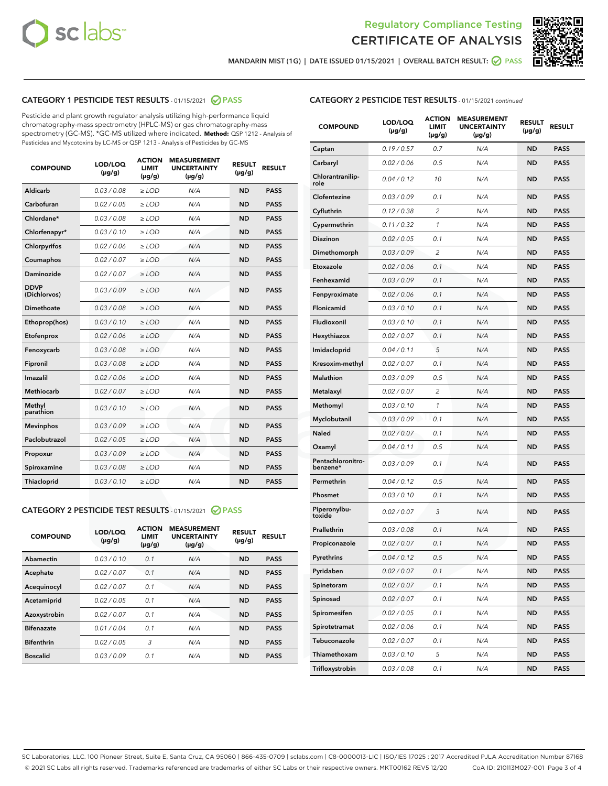



MANDARIN MIST (1G) | DATE ISSUED 01/15/2021 | OVERALL BATCH RESULT: 2 PASS

# CATEGORY 1 PESTICIDE TEST RESULTS - 01/15/2021 2 PASS

Pesticide and plant growth regulator analysis utilizing high-performance liquid chromatography-mass spectrometry (HPLC-MS) or gas chromatography-mass spectrometry (GC-MS). \*GC-MS utilized where indicated. **Method:** QSP 1212 - Analysis of Pesticides and Mycotoxins by LC-MS or QSP 1213 - Analysis of Pesticides by GC-MS

| <b>COMPOUND</b>             | LOD/LOQ<br>$(\mu g/g)$ | <b>ACTION</b><br><b>LIMIT</b><br>$(\mu g/g)$ | <b>MEASUREMENT</b><br><b>UNCERTAINTY</b><br>$(\mu g/g)$ | <b>RESULT</b><br>$(\mu g/g)$ | <b>RESULT</b> |
|-----------------------------|------------------------|----------------------------------------------|---------------------------------------------------------|------------------------------|---------------|
| Aldicarb                    | 0.03 / 0.08            | $\ge$ LOD                                    | N/A                                                     | <b>ND</b>                    | <b>PASS</b>   |
| Carbofuran                  | 0.02/0.05              | $>$ LOD                                      | N/A                                                     | <b>ND</b>                    | <b>PASS</b>   |
| Chlordane*                  | 0.03 / 0.08            | $\ge$ LOD                                    | N/A                                                     | <b>ND</b>                    | <b>PASS</b>   |
| Chlorfenapyr*               | 0.03/0.10              | $\ge$ LOD                                    | N/A                                                     | <b>ND</b>                    | <b>PASS</b>   |
| Chlorpyrifos                | 0.02/0.06              | $>$ LOD                                      | N/A                                                     | <b>ND</b>                    | <b>PASS</b>   |
| Coumaphos                   | 0.02 / 0.07            | $>$ LOD                                      | N/A                                                     | <b>ND</b>                    | <b>PASS</b>   |
| Daminozide                  | 0.02 / 0.07            | $\ge$ LOD                                    | N/A                                                     | <b>ND</b>                    | <b>PASS</b>   |
| <b>DDVP</b><br>(Dichlorvos) | 0.03/0.09              | $\ge$ LOD                                    | N/A                                                     | <b>ND</b>                    | <b>PASS</b>   |
| <b>Dimethoate</b>           | 0.03 / 0.08            | $\ge$ LOD                                    | N/A                                                     | <b>ND</b>                    | <b>PASS</b>   |
| Ethoprop(hos)               | 0.03/0.10              | $>$ LOD                                      | N/A                                                     | <b>ND</b>                    | <b>PASS</b>   |
| Etofenprox                  | 0.02 / 0.06            | $\ge$ LOD                                    | N/A                                                     | <b>ND</b>                    | <b>PASS</b>   |
| Fenoxycarb                  | 0.03 / 0.08            | $>$ LOD                                      | N/A                                                     | <b>ND</b>                    | <b>PASS</b>   |
| Fipronil                    | 0.03 / 0.08            | $\ge$ LOD                                    | N/A                                                     | <b>ND</b>                    | <b>PASS</b>   |
| Imazalil                    | 0.02 / 0.06            | $\ge$ LOD                                    | N/A                                                     | <b>ND</b>                    | <b>PASS</b>   |
| Methiocarb                  | 0.02 / 0.07            | $\ge$ LOD                                    | N/A                                                     | <b>ND</b>                    | <b>PASS</b>   |
| Methyl<br>parathion         | 0.03/0.10              | $>$ LOD                                      | N/A                                                     | <b>ND</b>                    | <b>PASS</b>   |
| <b>Mevinphos</b>            | 0.03/0.09              | $>$ LOD                                      | N/A                                                     | <b>ND</b>                    | <b>PASS</b>   |
| Paclobutrazol               | 0.02 / 0.05            | $\ge$ LOD                                    | N/A                                                     | <b>ND</b>                    | <b>PASS</b>   |
| Propoxur                    | 0.03/0.09              | $\ge$ LOD                                    | N/A                                                     | <b>ND</b>                    | <b>PASS</b>   |
| Spiroxamine                 | 0.03 / 0.08            | $\ge$ LOD                                    | N/A                                                     | <b>ND</b>                    | <b>PASS</b>   |
| <b>Thiacloprid</b>          | 0.03/0.10              | $\ge$ LOD                                    | N/A                                                     | <b>ND</b>                    | <b>PASS</b>   |

# CATEGORY 2 PESTICIDE TEST RESULTS - 01/15/2021 @ PASS

| <b>COMPOUND</b>   | LOD/LOQ<br>$(\mu g/g)$ | <b>ACTION</b><br><b>LIMIT</b><br>$(\mu g/g)$ | <b>MEASUREMENT</b><br><b>UNCERTAINTY</b><br>$(\mu g/g)$ | <b>RESULT</b><br>$(\mu g/g)$ | <b>RESULT</b> |
|-------------------|------------------------|----------------------------------------------|---------------------------------------------------------|------------------------------|---------------|
| Abamectin         | 0.03/0.10              | 0.1                                          | N/A                                                     | <b>ND</b>                    | <b>PASS</b>   |
| Acephate          | 0.02/0.07              | 0.1                                          | N/A                                                     | <b>ND</b>                    | <b>PASS</b>   |
| Acequinocyl       | 0.02/0.07              | 0.1                                          | N/A                                                     | <b>ND</b>                    | <b>PASS</b>   |
| Acetamiprid       | 0.02/0.05              | 0.1                                          | N/A                                                     | <b>ND</b>                    | <b>PASS</b>   |
| Azoxystrobin      | 0.02/0.07              | 0.1                                          | N/A                                                     | <b>ND</b>                    | <b>PASS</b>   |
| <b>Bifenazate</b> | 0.01/0.04              | 0.1                                          | N/A                                                     | <b>ND</b>                    | <b>PASS</b>   |
| <b>Bifenthrin</b> | 0.02/0.05              | 3                                            | N/A                                                     | <b>ND</b>                    | <b>PASS</b>   |
| <b>Boscalid</b>   | 0.03/0.09              | 0.1                                          | N/A                                                     | <b>ND</b>                    | <b>PASS</b>   |

|  | <b>CATEGORY 2 PESTICIDE TEST RESULTS</b> - 01/15/2021 continued |  |  |  |
|--|-----------------------------------------------------------------|--|--|--|
|--|-----------------------------------------------------------------|--|--|--|

| <b>COMPOUND</b>               | LOD/LOQ<br>$(\mu g/g)$ | <b>ACTION</b><br>LIMIT<br>$(\mu g/g)$ | <b>MEASUREMENT</b><br><b>UNCERTAINTY</b><br>(µg/g) | <b>RESULT</b><br>(µg/g) | <b>RESULT</b> |
|-------------------------------|------------------------|---------------------------------------|----------------------------------------------------|-------------------------|---------------|
| Captan                        | 0.19/0.57              | 0.7                                   | N/A                                                | <b>ND</b>               | <b>PASS</b>   |
| Carbaryl                      | 0.02 / 0.06            | 0.5                                   | N/A                                                | ND                      | <b>PASS</b>   |
| Chlorantranilip-<br>role      | 0.04/0.12              | 10                                    | N/A                                                | ND                      | <b>PASS</b>   |
| Clofentezine                  | 0.03 / 0.09            | 0.1                                   | N/A                                                | ND                      | <b>PASS</b>   |
| Cyfluthrin                    | 0.12 / 0.38            | 2                                     | N/A                                                | ND                      | <b>PASS</b>   |
| Cypermethrin                  | 0.11 / 0.32            | 1                                     | N/A                                                | ND                      | <b>PASS</b>   |
| <b>Diazinon</b>               | 0.02 / 0.05            | 0.1                                   | N/A                                                | ND                      | <b>PASS</b>   |
| Dimethomorph                  | 0.03 / 0.09            | 2                                     | N/A                                                | ND                      | <b>PASS</b>   |
| Etoxazole                     | 0.02 / 0.06            | 0.1                                   | N/A                                                | ND                      | <b>PASS</b>   |
| Fenhexamid                    | 0.03 / 0.09            | 0.1                                   | N/A                                                | ND                      | <b>PASS</b>   |
| Fenpyroximate                 | 0.02 / 0.06            | 0.1                                   | N/A                                                | ND                      | PASS          |
| <b>Flonicamid</b>             | 0.03 / 0.10            | 0.1                                   | N/A                                                | ND                      | <b>PASS</b>   |
| Fludioxonil                   | 0.03/0.10              | 0.1                                   | N/A                                                | ND                      | <b>PASS</b>   |
| Hexythiazox                   | 0.02 / 0.07            | 0.1                                   | N/A                                                | ND                      | <b>PASS</b>   |
| Imidacloprid                  | 0.04/0.11              | 5                                     | N/A                                                | ND                      | <b>PASS</b>   |
| Kresoxim-methyl               | 0.02 / 0.07            | 0.1                                   | N/A                                                | ND                      | <b>PASS</b>   |
| <b>Malathion</b>              | 0.03 / 0.09            | 0.5                                   | N/A                                                | ND                      | <b>PASS</b>   |
| Metalaxyl                     | 0.02 / 0.07            | 2                                     | N/A                                                | ND                      | <b>PASS</b>   |
| Methomyl                      | 0.03 / 0.10            | 1                                     | N/A                                                | ND                      | <b>PASS</b>   |
| Myclobutanil                  | 0.03 / 0.09            | 0.1                                   | N/A                                                | ND                      | PASS          |
| <b>Naled</b>                  | 0.02 / 0.07            | 0.1                                   | N/A                                                | ND                      | <b>PASS</b>   |
| Oxamyl                        | 0.04 / 0.11            | 0.5                                   | N/A                                                | ND                      | <b>PASS</b>   |
| Pentachloronitro-<br>benzene* | 0.03 / 0.09            | 0.1                                   | N/A                                                | ND                      | <b>PASS</b>   |
| Permethrin                    | 0.04 / 0.12            | 0.5                                   | N/A                                                | ND                      | <b>PASS</b>   |
| Phosmet                       | 0.03 / 0.10            | 0.1                                   | N/A                                                | ND                      | <b>PASS</b>   |
| Piperonylbu-<br>toxide        | 0.02 / 0.07            | 3                                     | N/A                                                | ND                      | <b>PASS</b>   |
| Prallethrin                   | 0.03 / 0.08            | 0.1                                   | N/A                                                | ND                      | <b>PASS</b>   |
| Propiconazole                 | 0.02 / 0.07            | 0.1                                   | N/A                                                | ND                      | <b>PASS</b>   |
| Pyrethrins                    | 0.04 / 0.12            | 0.5                                   | N/A                                                | ND                      | PASS          |
| Pyridaben                     | 0.02 / 0.07            | 0.1                                   | N/A                                                | ND                      | <b>PASS</b>   |
| Spinetoram                    | 0.02 / 0.07            | 0.1                                   | N/A                                                | <b>ND</b>               | <b>PASS</b>   |
| Spinosad                      | 0.02 / 0.07            | 0.1                                   | N/A                                                | ND                      | <b>PASS</b>   |
| Spiromesifen                  | 0.02 / 0.05            | 0.1                                   | N/A                                                | ND                      | <b>PASS</b>   |
| Spirotetramat                 | 0.02 / 0.06            | 0.1                                   | N/A                                                | ND                      | <b>PASS</b>   |
| Tebuconazole                  | 0.02 / 0.07            | 0.1                                   | N/A                                                | ND                      | <b>PASS</b>   |
| Thiamethoxam                  | 0.03 / 0.10            | 5                                     | N/A                                                | ND                      | <b>PASS</b>   |
| Trifloxystrobin               | 0.03 / 0.08            | 0.1                                   | N/A                                                | ND                      | <b>PASS</b>   |

SC Laboratories, LLC. 100 Pioneer Street, Suite E, Santa Cruz, CA 95060 | 866-435-0709 | sclabs.com | C8-0000013-LIC | ISO/IES 17025 : 2017 Accredited PJLA Accreditation Number 87168 © 2021 SC Labs all rights reserved. Trademarks referenced are trademarks of either SC Labs or their respective owners. MKT00162 REV5 12/20 CoA ID: 210113M027-001 Page 3 of 4